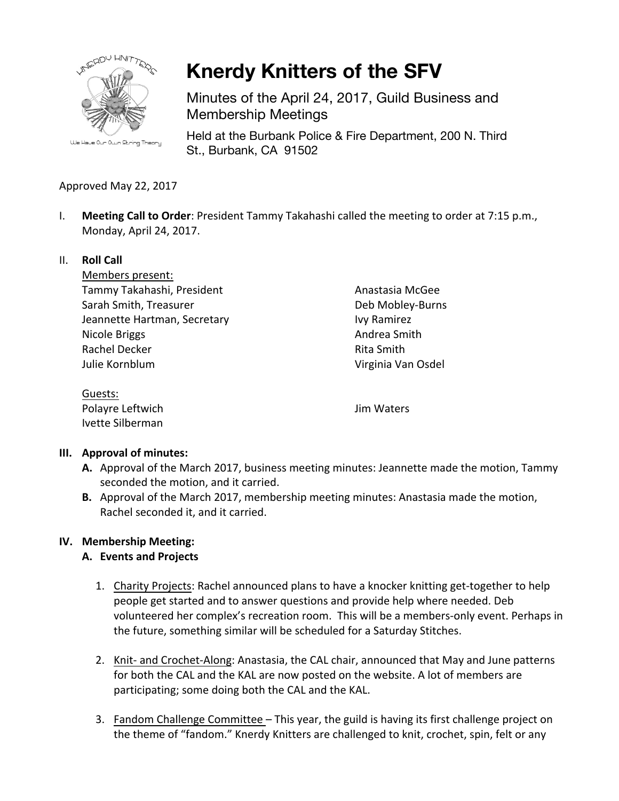

**Knerdy Knitters of the SFV**

Minutes of the April 24, 2017, Guild Business and Membership Meetings

Held at the Burbank Police & Fire Department, 200 N. Third St., Burbank, CA 91502

## Approved May 22, 2017

I. **Meeting Call to Order**: President Tammy Takahashi called the meeting to order at 7:15 p.m., Monday, April 24, 2017.

## II. **Roll Call**

Members present: Tammy Takahashi, President Sarah Smith, Treasurer Jeannette Hartman, Secretary Nicole Briggs Rachel Decker Julie Kornblum

Anastasia McGee Deb Mobley-Burns Ivy Ramirez Andrea Smith Rita Smith Virginia Van Osdel

Guests: Polayre Leftwich Ivette Silberman

Jim Waters

## **III.** Approval of minutes:

- A. Approval of the March 2017, business meeting minutes: Jeannette made the motion, Tammy seconded the motion, and it carried.
- **B.** Approval of the March 2017, membership meeting minutes: Anastasia made the motion, Rachel seconded it, and it carried.

# **IV. Membership Meeting:**

# **A. Events and Projects**

- 1. Charity Projects: Rachel announced plans to have a knocker knitting get-together to help people get started and to answer questions and provide help where needed. Deb volunteered her complex's recreation room. This will be a members-only event. Perhaps in the future, something similar will be scheduled for a Saturday Stitches.
- 2. Knit- and Crochet-Along: Anastasia, the CAL chair, announced that May and June patterns for both the CAL and the KAL are now posted on the website. A lot of members are participating; some doing both the CAL and the KAL.
- 3. Fandom Challenge Committee This year, the guild is having its first challenge project on the theme of "fandom." Knerdy Knitters are challenged to knit, crochet, spin, felt or any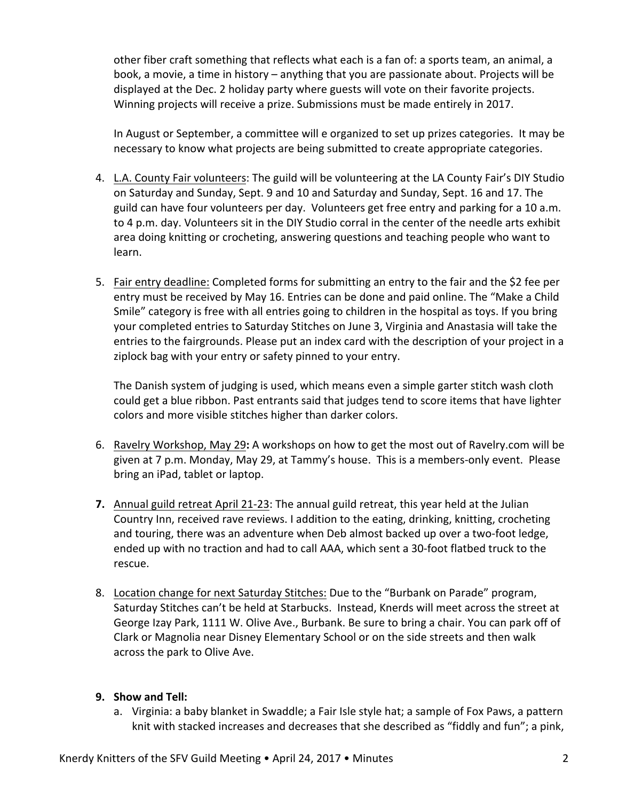other fiber craft something that reflects what each is a fan of: a sports team, an animal, a book, a movie, a time in history – anything that you are passionate about. Projects will be displayed at the Dec. 2 holiday party where guests will vote on their favorite projects. Winning projects will receive a prize. Submissions must be made entirely in 2017.

In August or September, a committee will e organized to set up prizes categories. It may be necessary to know what projects are being submitted to create appropriate categories.

- 4. L.A. County Fair volunteers: The guild will be volunteering at the LA County Fair's DIY Studio on Saturday and Sunday, Sept. 9 and 10 and Saturday and Sunday, Sept. 16 and 17. The guild can have four volunteers per day. Volunteers get free entry and parking for a 10 a.m. to 4 p.m. day. Volunteers sit in the DIY Studio corral in the center of the needle arts exhibit area doing knitting or crocheting, answering questions and teaching people who want to learn.
- 5. Fair entry deadline: Completed forms for submitting an entry to the fair and the \$2 fee per entry must be received by May 16. Entries can be done and paid online. The "Make a Child Smile" category is free with all entries going to children in the hospital as toys. If you bring your completed entries to Saturday Stitches on June 3, Virginia and Anastasia will take the entries to the fairgrounds. Please put an index card with the description of your project in a ziplock bag with your entry or safety pinned to your entry.

The Danish system of judging is used, which means even a simple garter stitch wash cloth could get a blue ribbon. Past entrants said that judges tend to score items that have lighter colors and more visible stitches higher than darker colors.

- 6. Ravelry Workshop, May 29: A workshops on how to get the most out of Ravelry.com will be given at 7 p.m. Monday, May 29, at Tammy's house. This is a members-only event. Please bring an iPad, tablet or laptop.
- **7.** Annual guild retreat April 21-23: The annual guild retreat, this year held at the Julian Country Inn, received rave reviews. I addition to the eating, drinking, knitting, crocheting and touring, there was an adventure when Deb almost backed up over a two-foot ledge, ended up with no traction and had to call AAA, which sent a 30-foot flatbed truck to the rescue.
- 8. Location change for next Saturday Stitches: Due to the "Burbank on Parade" program, Saturday Stitches can't be held at Starbucks. Instead, Knerds will meet across the street at George Izay Park, 1111 W. Olive Ave., Burbank. Be sure to bring a chair. You can park off of Clark or Magnolia near Disney Elementary School or on the side streets and then walk across the park to Olive Ave.

## **9. Show and Tell:**

a. Virginia: a baby blanket in Swaddle; a Fair Isle style hat; a sample of Fox Paws, a pattern knit with stacked increases and decreases that she described as "fiddly and fun"; a pink,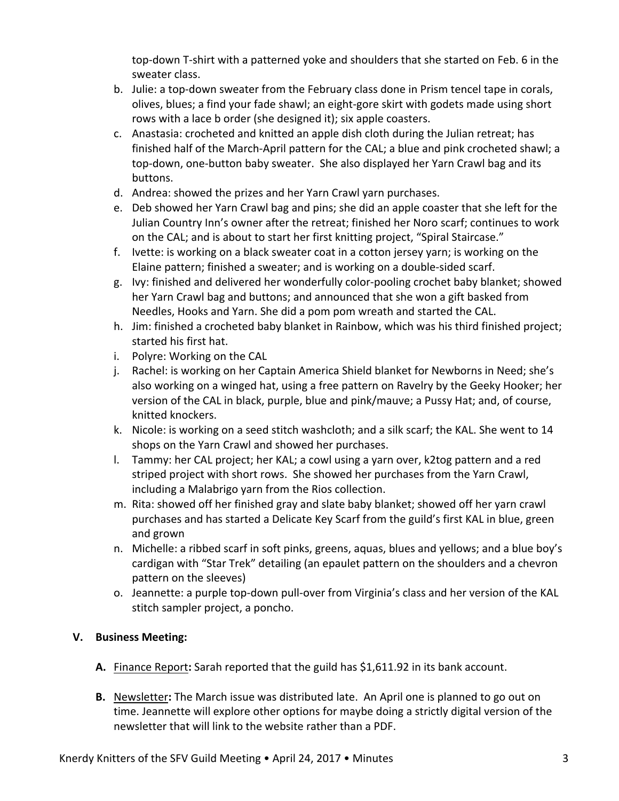top-down T-shirt with a patterned yoke and shoulders that she started on Feb. 6 in the sweater class.

- b. Julie: a top-down sweater from the February class done in Prism tencel tape in corals, olives, blues; a find your fade shawl; an eight-gore skirt with godets made using short rows with a lace b order (she designed it); six apple coasters.
- c. Anastasia: crocheted and knitted an apple dish cloth during the Julian retreat; has finished half of the March-April pattern for the CAL; a blue and pink crocheted shawl; a top-down, one-button baby sweater. She also displayed her Yarn Crawl bag and its buttons.
- d. Andrea: showed the prizes and her Yarn Crawl yarn purchases.
- e. Deb showed her Yarn Crawl bag and pins; she did an apple coaster that she left for the Julian Country Inn's owner after the retreat; finished her Noro scarf; continues to work on the CAL; and is about to start her first knitting project, "Spiral Staircase."
- f. Ivette: is working on a black sweater coat in a cotton jersey yarn; is working on the Elaine pattern; finished a sweater; and is working on a double-sided scarf.
- g. Ivy: finished and delivered her wonderfully color-pooling crochet baby blanket; showed her Yarn Crawl bag and buttons; and announced that she won a gift basked from Needles, Hooks and Yarn. She did a pom pom wreath and started the CAL.
- h. Jim: finished a crocheted baby blanket in Rainbow, which was his third finished project; started his first hat.
- i. Polyre: Working on the CAL
- j. Rachel: is working on her Captain America Shield blanket for Newborns in Need; she's also working on a winged hat, using a free pattern on Ravelry by the Geeky Hooker; her version of the CAL in black, purple, blue and pink/mauve; a Pussy Hat; and, of course, knitted knockers.
- k. Nicole: is working on a seed stitch washcloth; and a silk scarf; the KAL. She went to 14 shops on the Yarn Crawl and showed her purchases.
- l. Tammy: her CAL project; her KAL; a cowl using a yarn over, k2tog pattern and a red striped project with short rows. She showed her purchases from the Yarn Crawl, including a Malabrigo yarn from the Rios collection.
- m. Rita: showed off her finished gray and slate baby blanket; showed off her yarn crawl purchases and has started a Delicate Key Scarf from the guild's first KAL in blue, green and grown
- n. Michelle: a ribbed scarf in soft pinks, greens, aquas, blues and yellows; and a blue boy's cardigan with "Star Trek" detailing (an epaulet pattern on the shoulders and a chevron pattern on the sleeves)
- o. Jeannette: a purple top-down pull-over from Virginia's class and her version of the KAL stitch sampler project, a poncho.

# **V. Business Meeting:**

- A. Finance Report: Sarah reported that the guild has \$1,611.92 in its bank account.
- **B.** Newsletter: The March issue was distributed late. An April one is planned to go out on time. Jeannette will explore other options for maybe doing a strictly digital version of the newsletter that will link to the website rather than a PDF.